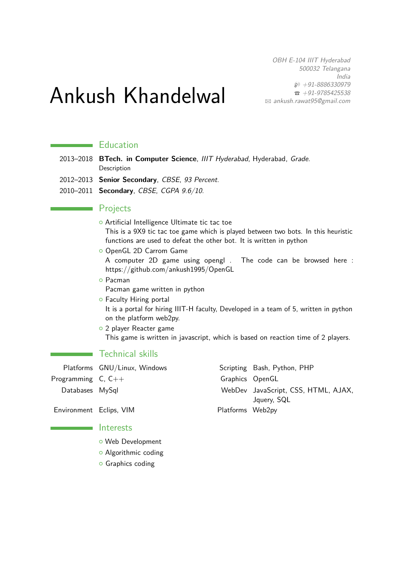OBH E-104 IIIT Hyderabad 500032 Telangana India  $$+91-8886330979$  $\bullet$  +91-9785425538 B [ankush.rawat95@gmail.com](mailto:ankush.rawat95@gmail.com)

# Ankush Khandelwal

## **Education**

- 2013–2018 **BTech. in Computer Science**, IIIT Hyderabad, Hyderabad, Grade. Description
- 2012–2013 **Senior Secondary**, CBSE, 93 Percent.
- 2010–2011 **Secondary**, CBSE, CGPA 9.6/10.

#### **Projects**

- o Artificial Intelligence Ultimate tic tac toe This is a 9X9 tic tac toe game which is played between two bots. In this heuristic functions are used to defeat the other bot. It is written in python
- **O** OpenGL 2D Carrom Game

A computer 2D game using opengl . The code can be browsed here : https://github.com/ankush1995/OpenGL

- { Pacman Pacman game written in python
- **o** Faculty Hiring portal It is a portal for hiring IIIT-H faculty, Developed in a team of 5, written in python on the platform web2py.
- o 2 player Reacter game This game is written in javascript, which is based on reaction time of 2 players.

## **Technical skills**

|                         | Platforms GNU/Linux, Windows |                  | Scripting Bash, Python, PHP                        |
|-------------------------|------------------------------|------------------|----------------------------------------------------|
| Programming $C, C++$    |                              | Graphics OpenGL  |                                                    |
| Databases MySql         |                              |                  | WebDev JavaScript, CSS, HTML, AJAX,<br>Jquery, SQL |
| Environment Eclips, VIM |                              | Platforms Web2py |                                                    |

#### **Interests**

<u> 1989 - Johann Barnett, f</u>

- o Web Development
- o Algorithmic coding
- **o** Graphics coding